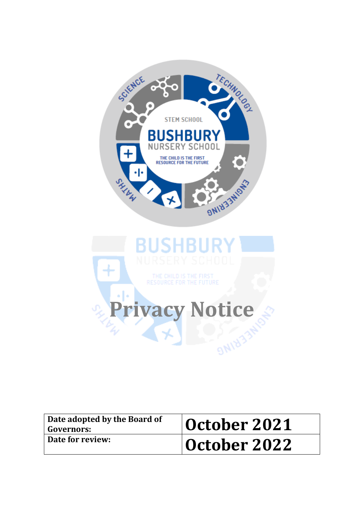

| Date adopted by the Board of<br><b>Governors:</b> | October 2021 |
|---------------------------------------------------|--------------|
| Date for review:                                  | October 2022 |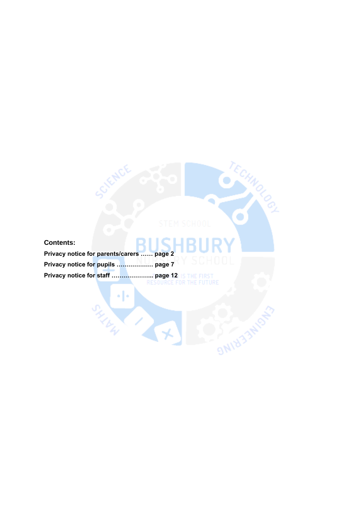# **Contents: Privacy notice for parents/carers …… page 2 Privacy notice for pupils ……………… page 7**

٠|۰

SHINK H

**Privacy notice for staff ………………... page 12**

۰

**ONINER TRIPOR**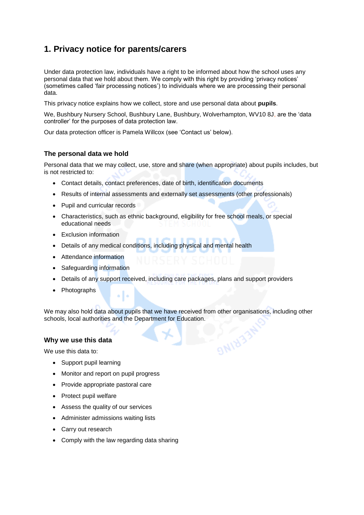# **1. Privacy notice for parents/carers**

Under data protection law, individuals have a right to be informed about how the school uses any personal data that we hold about them. We comply with this right by providing 'privacy notices' (sometimes called 'fair processing notices') to individuals where we are processing their personal data.

This privacy notice explains how we collect, store and use personal data about **pupils**.

We, Bushbury Nursery School, Bushbury Lane, Bushbury, Wolverhampton, WV10 8J, are the 'data controller' for the purposes of data protection law.

Our data protection officer is Pamela Willcox (see 'Contact us' below).

### **The personal data we hold**

Personal data that we may collect, use, store and share (when appropriate) about pupils includes, but is not restricted to:

- Contact details, contact preferences, date of birth, identification documents
- Results of internal assessments and externally set assessments (other professionals)
- Pupil and curricular records
- Characteristics, such as ethnic background, eligibility for free school meals, or special educational needs
- Exclusion information
- Details of any medical conditions, including physical and mental health
- Attendance information
- Safeguarding information
- Details of any support received, including care packages, plans and support providers
- **Photographs**

We may also hold data about pupils that we have received from other organisations, including other schools, local authorities and the Department for Education.

**DAIRTS** 

### **Why we use this data**

We use this data to:

- Support pupil learning
- Monitor and report on pupil progress

ò.

- Provide appropriate pastoral care
- Protect pupil welfare
- Assess the quality of our services
- Administer admissions waiting lists
- Carry out research
- Comply with the law regarding data sharing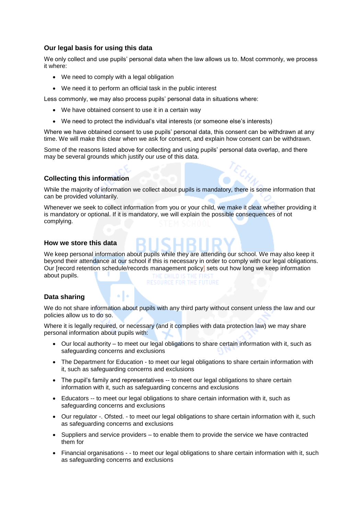### **Our legal basis for using this data**

We only collect and use pupils' personal data when the law allows us to. Most commonly, we process it where:

- We need to comply with a legal obligation
- We need it to perform an official task in the public interest

Less commonly, we may also process pupils' personal data in situations where:

- We have obtained consent to use it in a certain way
- We need to protect the individual's vital interests (or someone else's interests)

Where we have obtained consent to use pupils' personal data, this consent can be withdrawn at any time. We will make this clear when we ask for consent, and explain how consent can be withdrawn.

Some of the reasons listed above for collecting and using pupils' personal data overlap, and there may be several grounds which justify our use of this data.

### **Collecting this information**

While the majority of information we collect about pupils is mandatory, there is some information that can be provided voluntarily.

Whenever we seek to collect information from you or your child, we make it clear whether providing it is mandatory or optional. If it is mandatory, we will explain the possible consequences of not complying.

### **How we store this data**

We keep personal information about pupils while they are attending our school. We may also keep it beyond their attendance at our school if this is necessary in order to comply with our legal obligations. Our [record retention schedule/records management policy] sets out how long we keep information about pupils.

### **Data sharing**

We do not share information about pupils with any third party without consent unless the law and our policies allow us to do so.

Where it is legally required, or necessary (and it complies with data protection law) we may share personal information about pupils with:

- Our local authority to meet our legal obligations to share certain information with it, such as safeguarding concerns and exclusions
- The Department for Education to meet our legal obligations to share certain information with it, such as safeguarding concerns and exclusions
- The pupil's family and representatives -- to meet our legal obligations to share certain information with it, such as safeguarding concerns and exclusions
- Educators -- to meet our legal obligations to share certain information with it, such as safeguarding concerns and exclusions
- Our regulator -. Ofsted. to meet our legal obligations to share certain information with it, such as safeguarding concerns and exclusions
- Suppliers and service providers to enable them to provide the service we have contracted them for
- Financial organisations - to meet our legal obligations to share certain information with it, such as safeguarding concerns and exclusions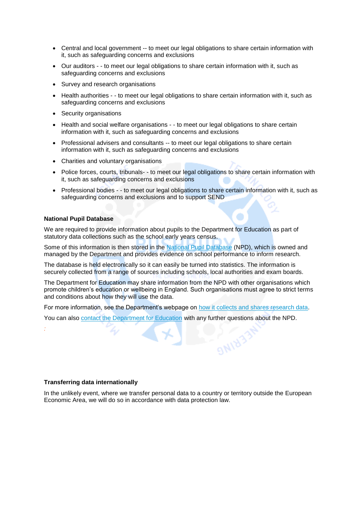- Central and local government -- to meet our legal obligations to share certain information with it, such as safeguarding concerns and exclusions
- Our auditors - to meet our legal obligations to share certain information with it, such as safeguarding concerns and exclusions
- Survey and research organisations
- Health authorities - to meet our legal obligations to share certain information with it, such as safeguarding concerns and exclusions
- Security organisations
- Health and social welfare organisations - to meet our legal obligations to share certain information with it, such as safeguarding concerns and exclusions
- Professional advisers and consultants -- to meet our legal obligations to share certain information with it, such as safeguarding concerns and exclusions
- Charities and voluntary organisations
- Police forces, courts, tribunals- to meet our legal obligations to share certain information with it, such as safeguarding concerns and exclusions
- Professional bodies - to meet our legal obligations to share certain information with it, such as safeguarding concerns and exclusions and to support SEND

### **National Pupil Database**

*:*

We are required to provide information about pupils to the Department for Education as part of statutory data collections such as the school early years census.

Some of this information is then stored in the [National Pupil Database](https://www.gov.uk/government/publications/national-pupil-database-user-guide-and-supporting-information) (NPD), which is owned and managed by the Department and provides evidence on school performance to inform research.

The database is held electronically so it can easily be turned into statistics. The information is securely collected from a range of sources including schools, local authorities and exam boards.

The Department for Education may share information from the NPD with other organisations which promote children's education or wellbeing in England. Such organisations must agree to strict terms and conditions about how they will use the data.

For more information, see the Department's webpage on [how it collects and shares research data.](https://www.gov.uk/data-protection-how-we-collect-and-share-research-data)

**ONINA** 

You can also [contact the Department for Education](https://www.gov.uk/contact-dfe) with any further questions about the NPD.

#### **Transferring data internationally**

In the unlikely event, where we transfer personal data to a country or territory outside the European Economic Area, we will do so in accordance with data protection law.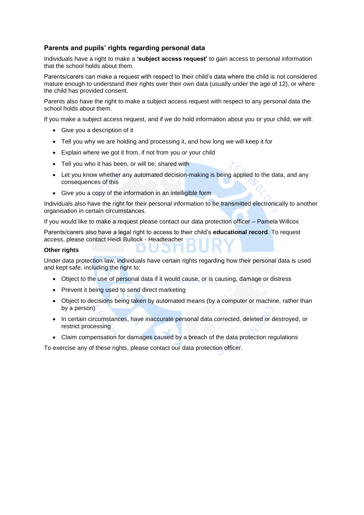### **Parents and pupils' rights regarding personal data**

Individuals have a right to make a **'subject access request'** to gain access to personal information that the school holds about them.

Parents/carers can make a request with respect to their child's data where the child is not considered mature enough to understand their rights over their own data (usually under the age of 12), or where the child has provided consent.

Parents also have the right to make a subject access request with respect to any personal data the school holds about them.

If you make a subject access request, and if we do hold information about you or your child, we will:

- Give you a description of it
- Tell you why we are holding and processing it, and how long we will keep it for
- Explain where we got it from, if not from you or your child
- Tell you who it has been, or will be, shared with
- Let you know whether any automated decision-making is being applied to the data, and any consequences of this
- Give you a copy of the information in an intelligible form

Individuals also have the right for their personal information to be transmitted electronically to another organisation in certain circumstances.

If you would like to make a request please contact our data protection officer – Pamela Willcox

Parents/carers also have a legal right to access to their child's **educational record**. To request access, please contact Heidi Bullock - Headteacher

### **Other rights**

Under data protection law, individuals have certain rights regarding how their personal data is used and kept safe, including the right to:

- Object to the use of personal data if it would cause, or is causing, damage or distress
- Prevent it being used to send direct marketing
- Object to decisions being taken by automated means (by a computer or machine, rather than by a person)
- In certain circumstances, have inaccurate personal data corrected, deleted or destroyed, or restrict processing
- Claim compensation for damages caused by a breach of the data protection regulations

To exercise any of these rights, please contact our data protection officer.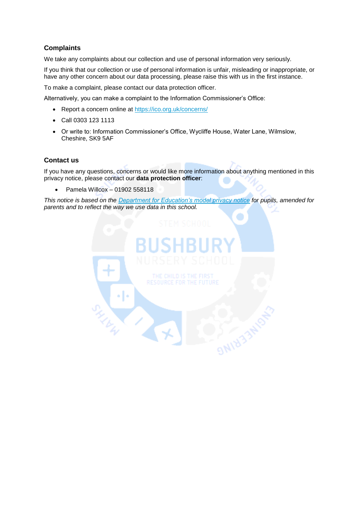## **Complaints**

We take any complaints about our collection and use of personal information very seriously.

If you think that our collection or use of personal information is unfair, misleading or inappropriate, or have any other concern about our data processing, please raise this with us in the first instance.

To make a complaint, please contact our data protection officer.

Alternatively, you can make a complaint to the Information Commissioner's Office:

Report a concern online at<https://ico.org.uk/concerns/>

 $\sum_{k}$ 

Γ.

- Call 0303 123 1113
- Or write to: Information Commissioner's Office, Wycliffe House, Water Lane, Wilmslow, Cheshire, SK9 5AF

### **Contact us**

If you have any questions, concerns or would like more information about anything mentioned in this privacy notice, please contact our **data protection officer**:

Pamela Willcox – 01902 558118

*This notice is based on the [Department for Education's model privacy notice](https://www.gov.uk/government/publications/data-protection-and-privacy-privacy-notices) for pupils, amended for parents and to reflect the way we use data in this school.*

**S WIN33**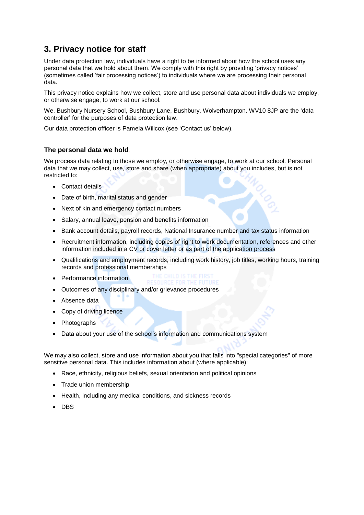# **3. Privacy notice for staff**

Under data protection law, individuals have a right to be informed about how the school uses any personal data that we hold about them. We comply with this right by providing 'privacy notices' (sometimes called 'fair processing notices') to individuals where we are processing their personal data.

This privacy notice explains how we collect, store and use personal data about individuals we employ, or otherwise engage, to work at our school.

We, Bushbury Nursery School, Bushbury Lane, Bushbury, Wolverhampton. WV10 8JP are the 'data controller' for the purposes of data protection law.

Our data protection officer is Pamela Willcox (see 'Contact us' below).

### **The personal data we hold***.*

We process data relating to those we employ, or otherwise engage, to work at our school. Personal data that we may collect, use, store and share (when appropriate) about you includes, but is not restricted to:

- Contact details
- Date of birth, marital status and gender
- Next of kin and emergency contact numbers
- Salary, annual leave, pension and benefits information
- Bank account details, payroll records, National Insurance number and tax status information
- Recruitment information, including copies of right to work documentation, references and other information included in a CV or cover letter or as part of the application process
- Qualifications and employment records, including work history, job titles, working hours, training records and professional memberships
- Performance information
- Outcomes of any disciplinary and/or grievance procedures
- Absence data
- Copy of driving licence
- Photographs
- Data about your use of the school's information and communications system

We may also collect, store and use information about you that falls into "special categories" of more sensitive personal data. This includes information about (where applicable):

- Race, ethnicity, religious beliefs, sexual orientation and political opinions
- Trade union membership
- Health, including any medical conditions, and sickness records
- DBS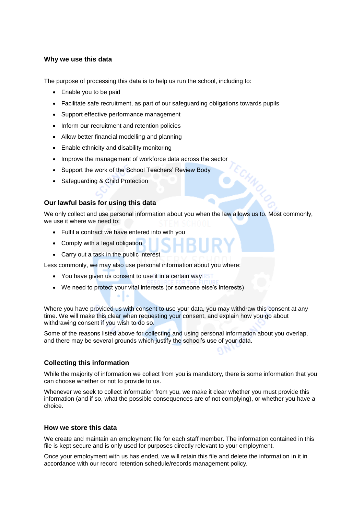### **Why we use this data**

The purpose of processing this data is to help us run the school, including to:

- Enable you to be paid
- Facilitate safe recruitment, as part of our safeguarding obligations towards pupils
- Support effective performance management
- Inform our recruitment and retention policies
- Allow better financial modelling and planning
- Enable ethnicity and disability monitoring
- Improve the management of workforce data across the sector
- Support the work of the School Teachers' Review Body
- Safeguarding & Child Protection

### **Our lawful basis for using this data**

We only collect and use personal information about you when the law allows us to. Most commonly, we use it where we need to:

- Fulfil a contract we have entered into with you
- Comply with a legal obligation
- Carry out a task in the public interest

Less commonly, we may also use personal information about you where:

- You have given us consent to use it in a certain way
- We need to protect your vital interests (or someone else's interests)

Where you have provided us with consent to use your data, you may withdraw this consent at any time. We will make this clear when requesting your consent, and explain how you go about withdrawing consent if you wish to do so.

Some of the reasons listed above for collecting and using personal information about you overlap, and there may be several grounds which justify the school's use of your data.

### **Collecting this information**

While the majority of information we collect from you is mandatory, there is some information that you can choose whether or not to provide to us.

Whenever we seek to collect information from you, we make it clear whether you must provide this information (and if so, what the possible consequences are of not complying), or whether you have a choice.

### **How we store this data**

We create and maintain an employment file for each staff member. The information contained in this file is kept secure and is only used for purposes directly relevant to your employment.

Once your employment with us has ended, we will retain this file and delete the information in it in accordance with our record retention schedule/records management policy.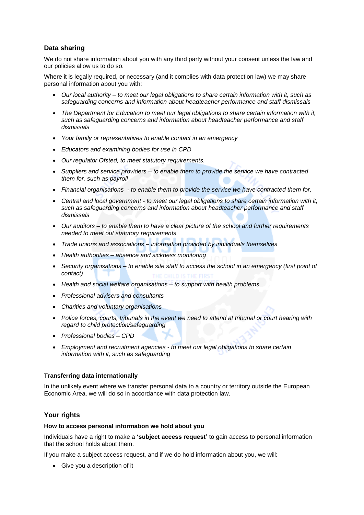# **Data sharing**

We do not share information about you with any third party without your consent unless the law and our policies allow us to do so.

Where it is legally required, or necessary (and it complies with data protection law) we may share personal information about you with:

- *Our local authority – to meet our legal obligations to share certain information with it, such as safeguarding concerns and information about headteacher performance and staff dismissals*
- *The Department for Education to meet our legal obligations to share certain information with it, such as safeguarding concerns and information about headteacher performance and staff dismissals*
- *Your family or representatives to enable contact in an emergency*
- *Educators and examining bodies for use in CPD*
- *Our regulator Ofsted, to meet statutory requirements.*
- *Suppliers and service providers – to enable them to provide the service we have contracted them for, such as payroll*
- *Financial organisations - to enable them to provide the service we have contracted them for,*
- *Central and local government - to meet our legal obligations to share certain information with it, such as safeguarding concerns and information about headteacher performance and staff dismissals*
- *Our auditors – to enable them to have a clear picture of the school and further requirements needed to meet out statutory requirements*
- *Trade unions and associations – information provided by individuals themselves*
- *Health authorities – absence and sickness monitoring*
- *Security organisations – to enable site staff to access the school in an emergency (first point of contact)*
- *Health and social welfare organisations – to support with health problems*
- *Professional advisers and consultants*
- *Charities and voluntary organisations*
- *Police forces, courts, tribunals in the event we need to attend at tribunal or court hearing with regard to child protection/safeguarding*
- *Professional bodies – CPD*
- *Employment and recruitment agencies - to meet our legal obligations to share certain information with it, such as safeguarding*

### **Transferring data internationally**

In the unlikely event where we transfer personal data to a country or territory outside the European Economic Area, we will do so in accordance with data protection law.

### **Your rights**

### **How to access personal information we hold about you**

Individuals have a right to make a **'subject access request'** to gain access to personal information that the school holds about them.

If you make a subject access request, and if we do hold information about you, we will:

Give you a description of it